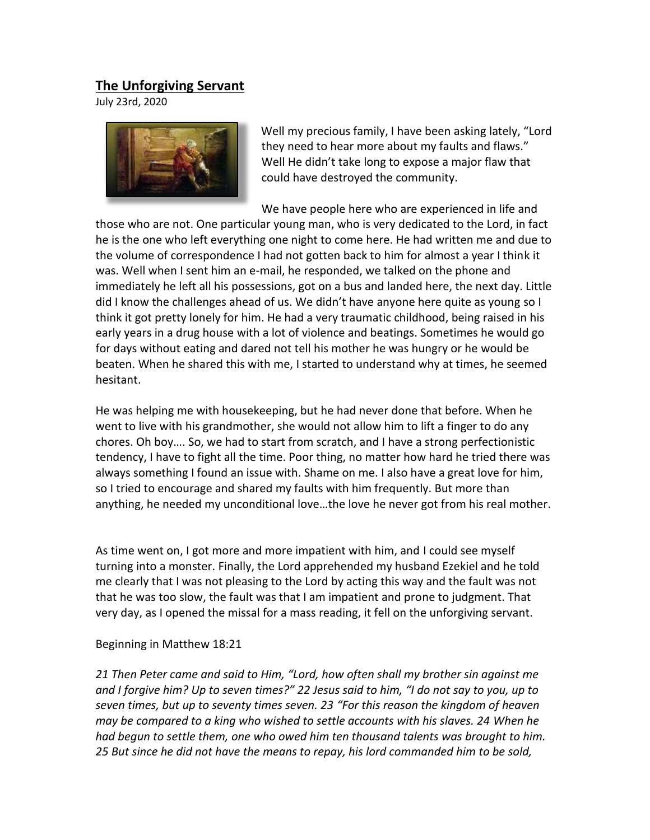## **The Unforgiving Servant**

July 23rd, 2020



Well my precious family, I have been asking lately, "Lord they need to hear more about my faults and flaws." Well He didn't take long to expose a major flaw that could have destroyed the community.   

We have people here who are experienced in life and those who are not. One particular young man, who is very dedicated to the Lord, in fact he is the one who left everything one night to come here. He had written me and due to the volume of correspondence I had not gotten back to him for almost a year I think it was. Well when I sent him an e-mail, he responded, we talked on the phone and immediately he left all his possessions, got on a bus and landed here, the next day. Little did I know the challenges ahead of us. We didn't have anyone here quite as young so I think it got pretty lonely for him. He had a very traumatic childhood, being raised in his early years in a drug house with a lot of violence and beatings. Sometimes he would go for days without eating and dared not tell his mother he was hungry or he would be beaten. When he shared this with me, I started to understand why at times, he seemed hesitant.

He was helping me with housekeeping, but he had never done that before. When he went to live with his grandmother, she would not allow him to lift a finger to do any chores. Oh boy…. So, we had to start from scratch, and I have a strong perfectionistic tendency, I have to fight all the time. Poor thing, no matter how hard he tried there was always something I found an issue with. Shame on me. I also have a great love for him, so I tried to encourage and shared my faults with him frequently. But more than anything, he needed my unconditional love…the love he never got from his real mother. 

As time went on, I got more and more impatient with him, and I could see myself turning into a monster. Finally, the Lord apprehended my husband Ezekiel and he told me clearly that I was not pleasing to the Lord by acting this way and the fault was not that he was too slow, the fault was that I am impatient and prone to judgment. That very day, as I opened the missal for a mass reading, it fell on the unforgiving servant.   

## Beginning in Matthew 18:21

*21 Then Peter came and said to Him, "Lord, how often shall my brother sin against me and I forgive him? Up to seven times?" 22 Jesus said to him, "I do not say to you, up to seven times, but up to seventy times seven. 23 "For this reason the kingdom of heaven may be compared to a king who wished to settle accounts with his slaves. 24 When he had begun to settle them, one who owed him ten thousand talents was brought to him. 25 But since he did not have the means to repay, his lord commanded him to be sold,*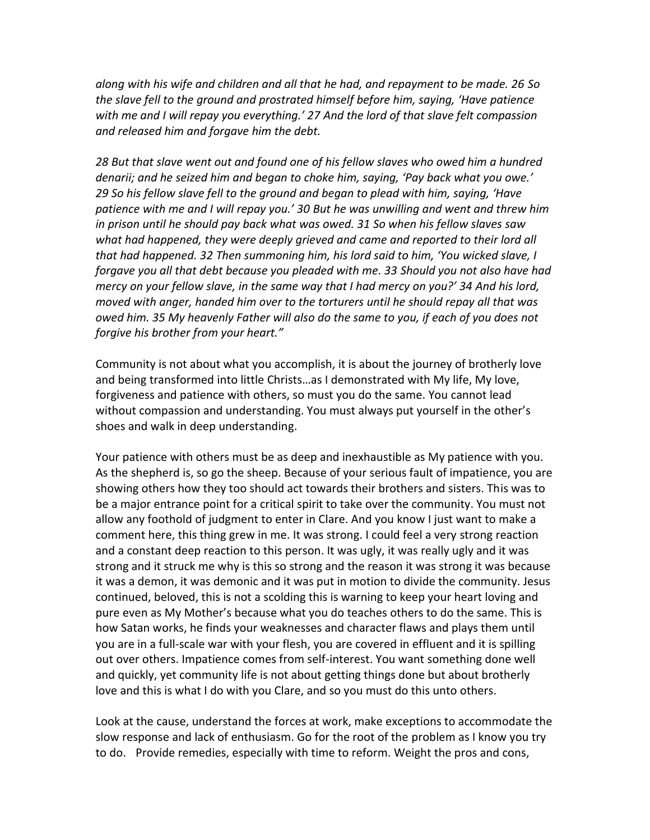*along with his wife and children and all that he had, and repayment to be made. 26 So the slave fell to the ground and prostrated himself before him, saying, 'Have patience with me and I will repay you everything.' 27 And the lord of that slave felt compassion and released him and forgave him the debt.* 

*28 But that slave went out and found one of his fellow slaves who owed him a hundred denarii; and he seized him and began to choke him, saying, 'Pay back what you owe.' 29 So his fellow slave fell to the ground and began to plead with him, saying, 'Have patience with me and I will repay you.' 30 But he was unwilling and went and threw him in prison until he should pay back what was owed. 31 So when his fellow slaves saw what had happened, they were deeply grieved and came and reported to their lord all that had happened. 32 Then summoning him, his lord said to him, 'You wicked slave, I forgave you all that debt because you pleaded with me. 33 Should you not also have had mercy on your fellow slave, in the same way that I had mercy on you?' 34 And his lord, moved with anger, handed him over to the torturers until he should repay all that was owed him. 35 My heavenly Father will also do the same to you, if each of you does not forgive his brother from your heart."*

Community is not about what you accomplish, it is about the journey of brotherly love and being transformed into little Christs…as I demonstrated with My life, My love, forgiveness and patience with others, so must you do the same. You cannot lead without compassion and understanding. You must always put yourself in the other's shoes and walk in deep understanding.

Your patience with others must be as deep and inexhaustible as My patience with you. As the shepherd is, so go the sheep. Because of your serious fault of impatience, you are showing others how they too should act towards their brothers and sisters. This was to be a major entrance point for a critical spirit to take over the community. You must not allow any foothold of judgment to enter in Clare. And you know I just want to make a comment here, this thing grew in me. It was strong. I could feel a very strong reaction and a constant deep reaction to this person. It was ugly, it was really ugly and it was strong and it struck me why is this so strong and the reason it was strong it was because it was a demon, it was demonic and it was put in motion to divide the community. Jesus continued, beloved, this is not a scolding this is warning to keep your heart loving and pure even as My Mother's because what you do teaches others to do the same. This is how Satan works, he finds your weaknesses and character flaws and plays them until you are in a full-scale war with your flesh, you are covered in effluent and it is spilling out over others. Impatience comes from self-interest. You want something done well and quickly, yet community life is not about getting things done but about brotherly love and this is what I do with you Clare, and so you must do this unto others.

Look at the cause, understand the forces at work, make exceptions to accommodate the slow response and lack of enthusiasm. Go for the root of the problem as I know you try to do. Provide remedies, especially with time to reform. Weight the pros and cons,